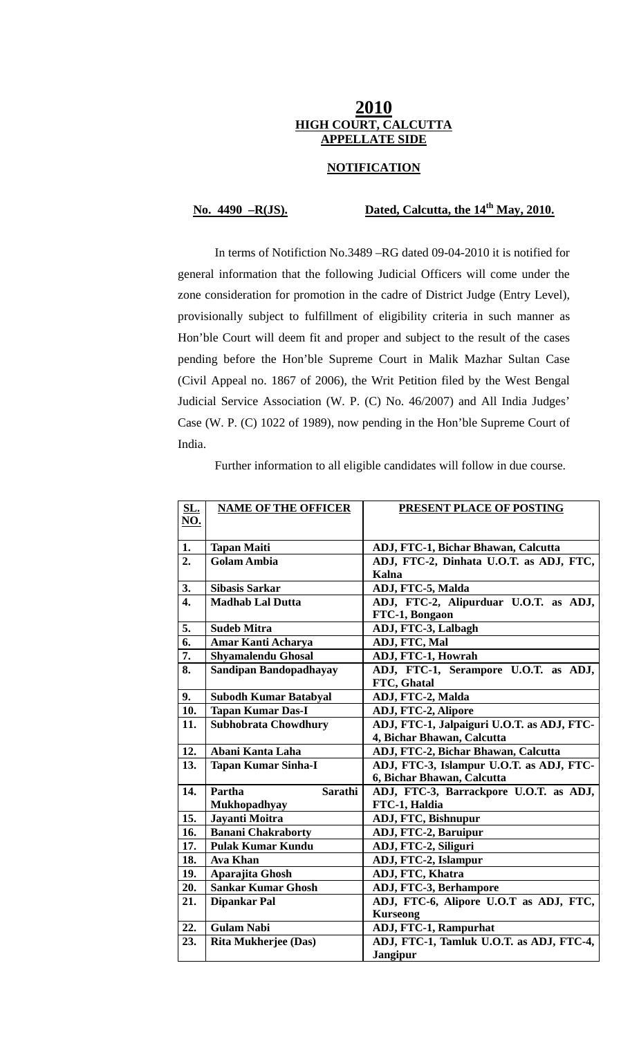# **2010 HIGH COURT, CALCUTTA APPELLATE SIDE**

## **NOTIFICATION**

# **No. 4490 –R(JS). Dated, Calcutta, the 14th May, 2010.**

 In terms of Notifiction No.3489 –RG dated 09-04-2010 it is notified for general information that the following Judicial Officers will come under the zone consideration for promotion in the cadre of District Judge (Entry Level), provisionally subject to fulfillment of eligibility criteria in such manner as Hon'ble Court will deem fit and proper and subject to the result of the cases pending before the Hon'ble Supreme Court in Malik Mazhar Sultan Case (Civil Appeal no. 1867 of 2006), the Writ Petition filed by the West Bengal Judicial Service Association (W. P. (C) No. 46/2007) and All India Judges' Case (W. P. (C) 1022 of 1989), now pending in the Hon'ble Supreme Court of India.

Further information to all eligible candidates will follow in due course.

| <b>SL.</b>       | <b>NAME OF THE OFFICER</b>    | <b>PRESENT PLACE OF POSTING</b>            |
|------------------|-------------------------------|--------------------------------------------|
| NO.              |                               |                                            |
|                  |                               |                                            |
| 1.               | <b>Tapan Maiti</b>            | ADJ, FTC-1, Bichar Bhawan, Calcutta        |
| 2.               | <b>Golam Ambia</b>            | ADJ, FTC-2, Dinhata U.O.T. as ADJ, FTC,    |
|                  |                               | Kalna                                      |
| 3.               | <b>Sibasis Sarkar</b>         | ADJ, FTC-5, Malda                          |
| $\overline{4}$ . | <b>Madhab Lal Dutta</b>       | ADJ, FTC-2, Alipurduar U.O.T. as ADJ,      |
|                  |                               | FTC-1, Bongaon                             |
| 5.               | <b>Sudeb Mitra</b>            | ADJ, FTC-3, Lalbagh                        |
| 6.               | Amar Kanti Acharya            | ADJ, FTC, Mal                              |
| 7.               | Shyamalendu Ghosal            | ADJ, FTC-1, Howrah                         |
| 8.               | <b>Sandipan Bandopadhayay</b> | ADJ, FTC-1, Serampore U.O.T. as ADJ,       |
|                  |                               | FTC, Ghatal                                |
| 9.               | <b>Subodh Kumar Batabyal</b>  | ADJ, FTC-2, Malda                          |
| 10.              | <b>Tapan Kumar Das-I</b>      | ADJ, FTC-2, Alipore                        |
| 11.              | <b>Subhobrata Chowdhury</b>   | ADJ, FTC-1, Jalpaiguri U.O.T. as ADJ, FTC- |
|                  |                               | 4, Bichar Bhawan, Calcutta                 |
| 12.              | Abani Kanta Laha              | ADJ, FTC-2, Bichar Bhawan, Calcutta        |
| 13.              | <b>Tapan Kumar Sinha-I</b>    | ADJ, FTC-3, Islampur U.O.T. as ADJ, FTC-   |
|                  |                               | 6, Bichar Bhawan, Calcutta                 |
| 14.              | Partha<br><b>Sarathi</b>      | ADJ, FTC-3, Barrackpore U.O.T. as ADJ,     |
|                  | Mukhopadhyay                  | FTC-1, Haldia                              |
| 15.              | Jayanti Moitra                | ADJ, FTC, Bishnupur                        |
| 16.              | <b>Banani Chakraborty</b>     | ADJ, FTC-2, Baruipur                       |
| 17.              | <b>Pulak Kumar Kundu</b>      | ADJ, FTC-2, Siliguri                       |
| 18.              | <b>Ava Khan</b>               | ADJ, FTC-2, Islampur                       |
| 19.              | Aparajita Ghosh               | ADJ, FTC, Khatra                           |
| 20.              | <b>Sankar Kumar Ghosh</b>     | ADJ, FTC-3, Berhampore                     |
| 21.              | <b>Dipankar Pal</b>           | ADJ, FTC-6, Alipore U.O.T as ADJ, FTC,     |
|                  |                               | <b>Kurseong</b>                            |
| 22.              | <b>Gulam Nabi</b>             | ADJ, FTC-1, Rampurhat                      |
| 23.              | Rita Mukherjee (Das)          | ADJ, FTC-1, Tamluk U.O.T. as ADJ, FTC-4,   |
|                  |                               | <b>Jangipur</b>                            |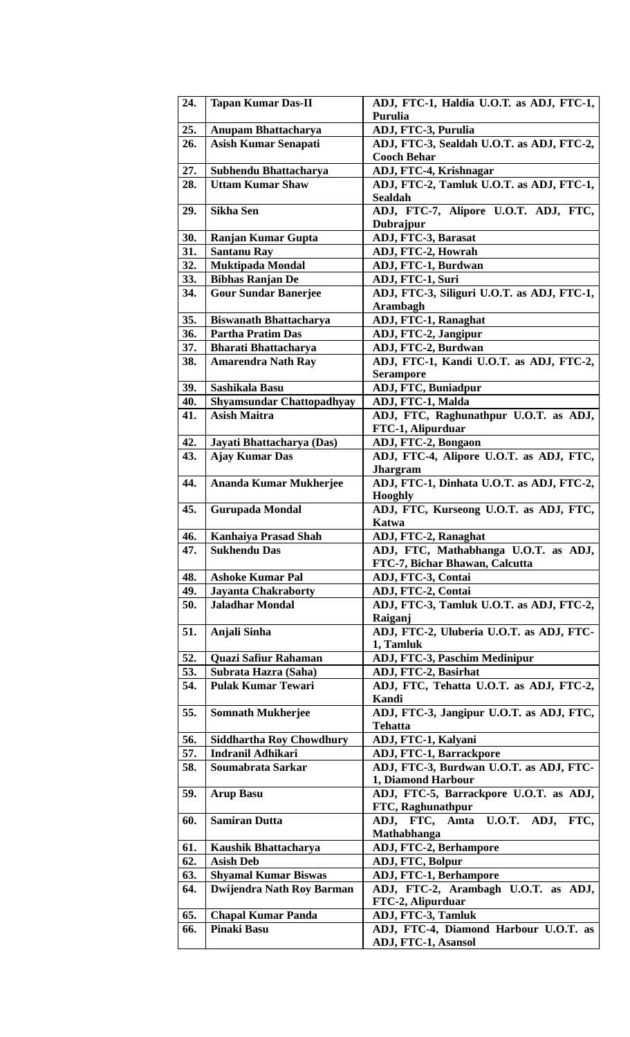| 24. | <b>Tapan Kumar Das-II</b>        | ADJ, FTC-1, Haldia U.O.T. as ADJ, FTC-1,<br>Purulia                    |
|-----|----------------------------------|------------------------------------------------------------------------|
| 25. | <b>Anupam Bhattacharya</b>       | ADJ, FTC-3, Purulia                                                    |
| 26. | <b>Asish Kumar Senapati</b>      | ADJ, FTC-3, Sealdah U.O.T. as ADJ, FTC-2,<br><b>Cooch Behar</b>        |
| 27. | Subhendu Bhattacharya            | ADJ, FTC-4, Krishnagar                                                 |
| 28. | <b>Uttam Kumar Shaw</b>          | ADJ, FTC-2, Tamluk U.O.T. as ADJ, FTC-1,<br><b>Sealdah</b>             |
| 29. | <b>Sikha Sen</b>                 | ADJ, FTC-7, Alipore U.O.T. ADJ, FTC,<br>Dubrajpur                      |
| 30. | <b>Ranjan Kumar Gupta</b>        | ADJ, FTC-3, Barasat                                                    |
| 31. | <b>Santanu Ray</b>               | ADJ, FTC-2, Howrah                                                     |
| 32. | Muktipada Mondal                 | ADJ, FTC-1, Burdwan                                                    |
| 33. | <b>Bibhas Ranjan De</b>          | ADJ, FTC-1, Suri                                                       |
| 34. | <b>Gour Sundar Banerjee</b>      | ADJ, FTC-3, Siliguri U.O.T. as ADJ, FTC-1,<br><b>Arambagh</b>          |
| 35. | <b>Biswanath Bhattacharya</b>    | ADJ, FTC-1, Ranaghat                                                   |
| 36. | <b>Partha Pratim Das</b>         | ADJ, FTC-2, Jangipur                                                   |
| 37. | <b>Bharati Bhattacharya</b>      | ADJ, FTC-2, Burdwan                                                    |
| 38. | <b>Amarendra Nath Ray</b>        | ADJ, FTC-1, Kandi U.O.T. as ADJ, FTC-2,<br><b>Serampore</b>            |
| 39. | Sashikala Basu                   | ADJ, FTC, Buniadpur                                                    |
| 40. | <b>Shyamsundar Chattopadhyay</b> | ADJ, FTC-1, Malda                                                      |
| 41. | <b>Asish Maitra</b>              | ADJ, FTC, Raghunathpur U.O.T. as ADJ,                                  |
|     |                                  | FTC-1, Alipurduar                                                      |
| 42. | Jayati Bhattacharya (Das)        | ADJ, FTC-2, Bongaon                                                    |
| 43. | <b>Ajay Kumar Das</b>            | ADJ, FTC-4, Alipore U.O.T. as ADJ, FTC,<br><b>Jhargram</b>             |
| 44. | Ananda Kumar Mukherjee           | ADJ, FTC-1, Dinhata U.O.T. as ADJ, FTC-2,<br><b>Hooghly</b>            |
| 45. | <b>Gurupada Mondal</b>           | ADJ, FTC, Kurseong U.O.T. as ADJ, FTC,<br>Katwa                        |
| 46. | <b>Kanhaiya Prasad Shah</b>      | ADJ, FTC-2, Ranaghat                                                   |
| 47. | <b>Sukhendu Das</b>              | ADJ, FTC, Mathabhanga U.O.T. as ADJ,<br>FTC-7, Bichar Bhawan, Calcutta |
| 48. | <b>Ashoke Kumar Pal</b>          | ADJ, FTC-3, Contai                                                     |
| 49. | <b>Jayanta Chakraborty</b>       | ADJ, FTC-2, Contai                                                     |
| 50. | <b>Jaladhar Mondal</b>           | ADJ, FTC-3, Tamluk U.O.T. as ADJ, FTC-2,<br>Raiganj                    |
| 51. | Anjali Sinha                     | ADJ, FTC-2, Uluberia U.O.T. as ADJ, FTC-<br>1, Tamluk                  |
| 52. | Quazi Safiur Rahaman             | ADJ, FTC-3, Paschim Medinipur                                          |
| 53. | Subrata Hazra (Saha)             | ADJ, FTC-2, Basirhat                                                   |
| 54. | <b>Pulak Kumar Tewari</b>        | ADJ, FTC, Tehatta U.O.T. as ADJ, FTC-2,<br><b>Kandi</b>                |
| 55. | <b>Somnath Mukherjee</b>         | ADJ, FTC-3, Jangipur U.O.T. as ADJ, FTC,<br><b>Tehatta</b>             |
| 56. | <b>Siddhartha Roy Chowdhury</b>  | ADJ, FTC-1, Kalyani                                                    |
| 57. | <b>Indranil Adhikari</b>         | ADJ, FTC-1, Barrackpore                                                |
| 58. | Soumabrata Sarkar                | ADJ, FTC-3, Burdwan U.O.T. as ADJ, FTC-<br>1, Diamond Harbour          |
| 59. | <b>Arup Basu</b>                 | ADJ, FTC-5, Barrackpore U.O.T. as ADJ,<br>FTC, Raghunathpur            |
| 60. | <b>Samiran Dutta</b>             | ADJ, FTC, Amta<br><b>U.O.T.</b><br>ADJ, FTC,<br>Mathabhanga            |
| 61. | Kaushik Bhattacharya             | ADJ, FTC-2, Berhampore                                                 |
| 62. | <b>Asish Deb</b>                 | ADJ, FTC, Bolpur                                                       |
| 63. | <b>Shyamal Kumar Biswas</b>      | <b>ADJ, FTC-1, Berhampore</b>                                          |
| 64. | Dwijendra Nath Roy Barman        | ADJ, FTC-2, Arambagh U.O.T. as ADJ,<br>FTC-2, Alipurduar               |
| 65. | <b>Chapal Kumar Panda</b>        | ADJ, FTC-3, Tamluk                                                     |
| 66. | <b>Pinaki Basu</b>               | ADJ, FTC-4, Diamond Harbour U.O.T. as<br>ADJ, FTC-1, Asansol           |
|     |                                  |                                                                        |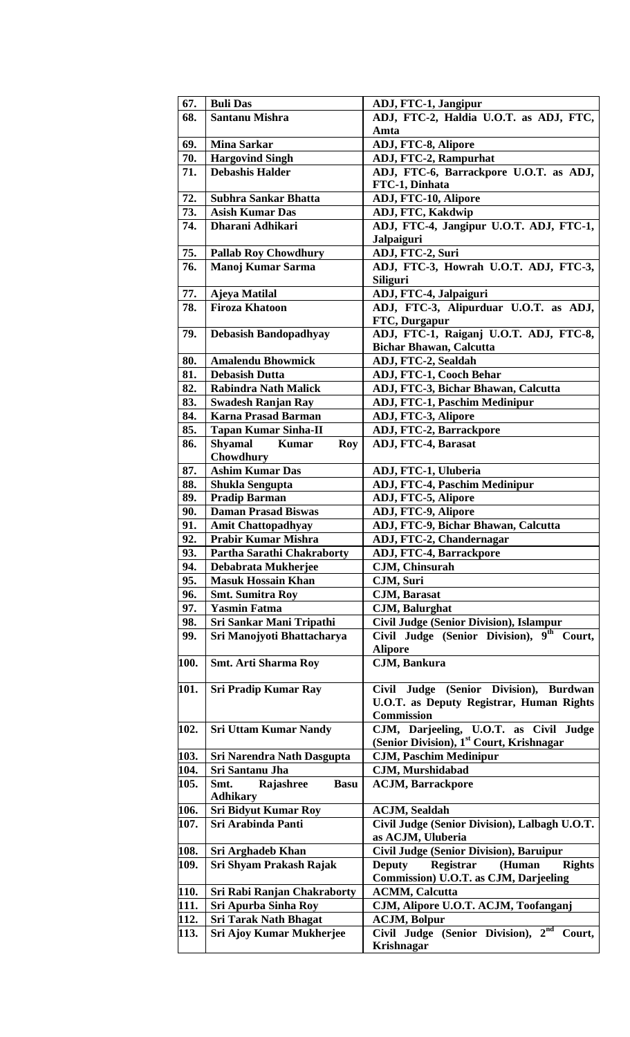| 67.  | <b>Buli Das</b>                              | ADJ, FTC-1, Jangipur                                                                                  |
|------|----------------------------------------------|-------------------------------------------------------------------------------------------------------|
| 68.  | <b>Santanu Mishra</b>                        | ADJ, FTC-2, Haldia U.O.T. as ADJ, FTC,                                                                |
|      |                                              | Amta                                                                                                  |
| 69.  | <b>Mina Sarkar</b>                           | ADJ, FTC-8, Alipore                                                                                   |
| 70.  | <b>Hargovind Singh</b>                       | <b>ADJ, FTC-2, Rampurhat</b>                                                                          |
| 71.  | <b>Debashis Halder</b>                       | ADJ, FTC-6, Barrackpore U.O.T. as ADJ,                                                                |
|      |                                              | FTC-1, Dinhata                                                                                        |
| 72.  | <b>Subhra Sankar Bhatta</b>                  | ADJ, FTC-10, Alipore                                                                                  |
| 73.  | <b>Asish Kumar Das</b>                       | ADJ, FTC, Kakdwip                                                                                     |
| 74.  | Dharani Adhikari                             | ADJ, FTC-4, Jangipur U.O.T. ADJ, FTC-1,                                                               |
| 75.  |                                              | Jalpaiguri                                                                                            |
| 76.  | <b>Pallab Roy Chowdhury</b>                  | ADJ, FTC-2, Suri<br>ADJ, FTC-3, Howrah U.O.T. ADJ, FTC-3,                                             |
|      | Manoj Kumar Sarma                            | <b>Siliguri</b>                                                                                       |
| 77.  | Ajeya Matilal                                | ADJ, FTC-4, Jalpaiguri                                                                                |
| 78.  | <b>Firoza Khatoon</b>                        | ADJ, FTC-3, Alipurduar U.O.T. as ADJ,                                                                 |
|      |                                              | FTC, Durgapur                                                                                         |
| 79.  | <b>Debasish Bandopadhyay</b>                 | ADJ, FTC-1, Raiganj U.O.T. ADJ, FTC-8,                                                                |
|      |                                              | <b>Bichar Bhawan, Calcutta</b>                                                                        |
| 80.  | <b>Amalendu Bhowmick</b>                     | ADJ, FTC-2, Sealdah                                                                                   |
| 81.  | <b>Debasish Dutta</b>                        | <b>ADJ, FTC-1, Cooch Behar</b>                                                                        |
| 82.  | <b>Rabindra Nath Malick</b>                  | ADJ, FTC-3, Bichar Bhawan, Calcutta                                                                   |
| 83.  | <b>Swadesh Ranjan Ray</b>                    | <b>ADJ, FTC-1, Paschim Medinipur</b>                                                                  |
| 84.  | <b>Karna Prasad Barman</b>                   | ADJ, FTC-3, Alipore                                                                                   |
| 85.  | <b>Tapan Kumar Sinha-II</b>                  | ADJ, FTC-2, Barrackpore                                                                               |
| 86.  | <b>Shyamal</b><br><b>Kumar</b><br><b>Roy</b> | ADJ, FTC-4, Barasat                                                                                   |
|      | Chowdhury                                    |                                                                                                       |
| 87.  | <b>Ashim Kumar Das</b>                       | ADJ, FTC-1, Uluberia                                                                                  |
| 88.  | <b>Shukla Sengupta</b>                       | <b>ADJ, FTC-4, Paschim Medinipur</b>                                                                  |
| 89.  | <b>Pradip Barman</b>                         | ADJ, FTC-5, Alipore                                                                                   |
| 90.  | <b>Daman Prasad Biswas</b>                   | ADJ, FTC-9, Alipore                                                                                   |
| 91.  | <b>Amit Chattopadhyay</b>                    | ADJ, FTC-9, Bichar Bhawan, Calcutta                                                                   |
| 92.  | <b>Prabir Kumar Mishra</b>                   | ADJ, FTC-2, Chandernagar                                                                              |
| 93.  | Partha Sarathi Chakraborty                   | <b>ADJ, FTC-4, Barrackpore</b>                                                                        |
| 94.  | Debabrata Mukherjee                          | CJM, Chinsurah                                                                                        |
| 95.  | <b>Masuk Hossain Khan</b>                    | CJM, Suri                                                                                             |
| 96.  | <b>Smt. Sumitra Roy</b>                      | <b>CJM, Barasat</b>                                                                                   |
| 97.  | <b>Yasmin Fatma</b>                          | <b>CJM, Balurghat</b>                                                                                 |
| 98.  | Sri Sankar Mani Tripathi                     | <b>Civil Judge (Senior Division), Islampur</b>                                                        |
| 99.  | Sri Manojyoti Bhattacharya                   | Civil Judge (Senior Division), 9th<br>Court.                                                          |
|      |                                              | <b>Alipore</b>                                                                                        |
| 100. | <b>Smt. Arti Sharma Roy</b>                  | CJM, Bankura                                                                                          |
| 101. | <b>Sri Pradip Kumar Ray</b>                  | Civil Judge (Senior Division), Burdwan                                                                |
|      |                                              | <b>U.O.T.</b> as Deputy Registrar, Human Rights                                                       |
|      |                                              | <b>Commission</b>                                                                                     |
| 102. | <b>Sri Uttam Kumar Nandy</b>                 | CJM, Darjeeling, U.O.T. as Civil Judge                                                                |
|      |                                              | (Senior Division), 1 <sup>st</sup> Court, Krishnagar                                                  |
| 103. | Sri Narendra Nath Dasgupta                   | <b>CJM, Paschim Medinipur</b>                                                                         |
| 104. | Sri Santanu Jha                              | CJM, Murshidabad                                                                                      |
| 105. | Smt.<br>Rajashree<br><b>Basu</b>             | <b>ACJM, Barrackpore</b>                                                                              |
|      | <b>Adhikary</b>                              |                                                                                                       |
| 106. | <b>Sri Bidyut Kumar Roy</b>                  | <b>ACJM, Sealdah</b>                                                                                  |
| 107. | Sri Arabinda Panti                           | Civil Judge (Senior Division), Lalbagh U.O.T.                                                         |
|      |                                              | as ACJM, Uluberia                                                                                     |
| 108. | Sri Arghadeb Khan                            | <b>Civil Judge (Senior Division), Baruipur</b>                                                        |
| 109. | Sri Shyam Prakash Rajak                      | Registrar<br><b>Rights</b><br><b>Deputy</b><br>(Human<br><b>Commission) U.O.T. as CJM, Darjeeling</b> |
| 110. | <b>Sri Rabi Ranjan Chakraborty</b>           | <b>ACMM, Calcutta</b>                                                                                 |
| 111. | Sri Apurba Sinha Roy                         | CJM, Alipore U.O.T. ACJM, Toofanganj                                                                  |
| 112. | <b>Sri Tarak Nath Bhagat</b>                 | <b>ACJM, Bolpur</b>                                                                                   |
| 113. | <b>Sri Ajoy Kumar Mukherjee</b>              | Civil Judge (Senior Division), 2nd<br>Court,                                                          |
|      |                                              | <b>Krishnagar</b>                                                                                     |
|      |                                              |                                                                                                       |